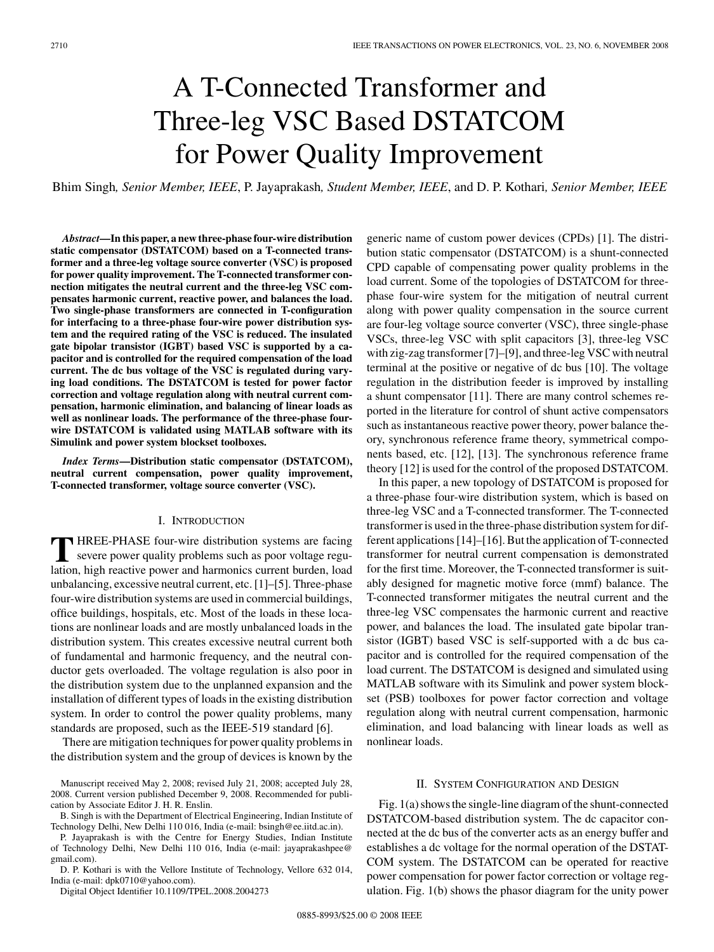# A T-Connected Transformer and Three-leg VSC Based DSTATCOM for Power Quality Improvement

Bhim Singh*, Senior Member, IEEE*, P. Jayaprakash*, Student Member, IEEE*, and D. P. Kothari*, Senior Member, IEEE*

*Abstract***—In this paper, a new three-phase four-wire distribution static compensator (DSTATCOM) based on a T-connected transformer and a three-leg voltage source converter (VSC) is proposed for power quality improvement. The T-connected transformer connection mitigates the neutral current and the three-leg VSC compensates harmonic current, reactive power, and balances the load. Two single-phase transformers are connected in T-configuration for interfacing to a three-phase four-wire power distribution system and the required rating of the VSC is reduced. The insulated gate bipolar transistor (IGBT) based VSC is supported by a capacitor and is controlled for the required compensation of the load current. The dc bus voltage of the VSC is regulated during varying load conditions. The DSTATCOM is tested for power factor correction and voltage regulation along with neutral current compensation, harmonic elimination, and balancing of linear loads as well as nonlinear loads. The performance of the three-phase fourwire DSTATCOM is validated using MATLAB software with its Simulink and power system blockset toolboxes.**

*Index Terms***—Distribution static compensator (DSTATCOM), neutral current compensation, power quality improvement, T-connected transformer, voltage source converter (VSC).**

# I. INTRODUCTION

**T** HREE-PHASE four-wire distribution systems are facing severe power quality problems such as poor voltage regulation, high reactive power and harmonics current burden, load unbalancing, excessive neutral current, etc. [1]–[5]. Three-phase four-wire distribution systems are used in commercial buildings, office buildings, hospitals, etc. Most of the loads in these locations are nonlinear loads and are mostly unbalanced loads in the distribution system. This creates excessive neutral current both of fundamental and harmonic frequency, and the neutral conductor gets overloaded. The voltage regulation is also poor in the distribution system due to the unplanned expansion and the installation of different types of loads in the existing distribution system. In order to control the power quality problems, many standards are proposed, such as the IEEE-519 standard [6].

There are mitigation techniques for power quality problems in the distribution system and the group of devices is known by the

P. Jayaprakash is with the Centre for Energy Studies, Indian Institute of Technology Delhi, New Delhi 110 016, India (e-mail: jayaprakashpee@ gmail.com).

D. P. Kothari is with the Vellore Institute of Technology, Vellore 632 014, India (e-mail: dpk0710@yahoo.com).

Digital Object Identifier 10.1109/TPEL.2008.2004273

generic name of custom power devices (CPDs) [1]. The distribution static compensator (DSTATCOM) is a shunt-connected CPD capable of compensating power quality problems in the load current. Some of the topologies of DSTATCOM for threephase four-wire system for the mitigation of neutral current along with power quality compensation in the source current are four-leg voltage source converter (VSC), three single-phase VSCs, three-leg VSC with split capacitors [3], three-leg VSC with zig-zag transformer [7]–[9], and three-leg VSC with neutral terminal at the positive or negative of dc bus [10]. The voltage regulation in the distribution feeder is improved by installing a shunt compensator [11]. There are many control schemes reported in the literature for control of shunt active compensators such as instantaneous reactive power theory, power balance theory, synchronous reference frame theory, symmetrical components based, etc. [12], [13]. The synchronous reference frame theory [12] is used for the control of the proposed DSTATCOM.

In this paper, a new topology of DSTATCOM is proposed for a three-phase four-wire distribution system, which is based on three-leg VSC and a T-connected transformer. The T-connected transformer is used in the three-phase distribution system for different applications [14]–[16]. But the application of T-connected transformer for neutral current compensation is demonstrated for the first time. Moreover, the T-connected transformer is suitably designed for magnetic motive force (mmf) balance. The T-connected transformer mitigates the neutral current and the three-leg VSC compensates the harmonic current and reactive power, and balances the load. The insulated gate bipolar transistor (IGBT) based VSC is self-supported with a dc bus capacitor and is controlled for the required compensation of the load current. The DSTATCOM is designed and simulated using MATLAB software with its Simulink and power system blockset (PSB) toolboxes for power factor correction and voltage regulation along with neutral current compensation, harmonic elimination, and load balancing with linear loads as well as nonlinear loads.

#### II. SYSTEM CONFIGURATION AND DESIGN

Fig. 1(a) shows the single-line diagram of the shunt-connected DSTATCOM-based distribution system. The dc capacitor connected at the dc bus of the converter acts as an energy buffer and establishes a dc voltage for the normal operation of the DSTAT-COM system. The DSTATCOM can be operated for reactive power compensation for power factor correction or voltage regulation. Fig. 1(b) shows the phasor diagram for the unity power

Manuscript received May 2, 2008; revised July 21, 2008; accepted July 28, 2008. Current version published December 9, 2008. Recommended for publication by Associate Editor J. H. R. Enslin.

B. Singh is with the Department of Electrical Engineering, Indian Institute of Technology Delhi, New Delhi 110 016, India (e-mail: bsingh@ee.iitd.ac.in).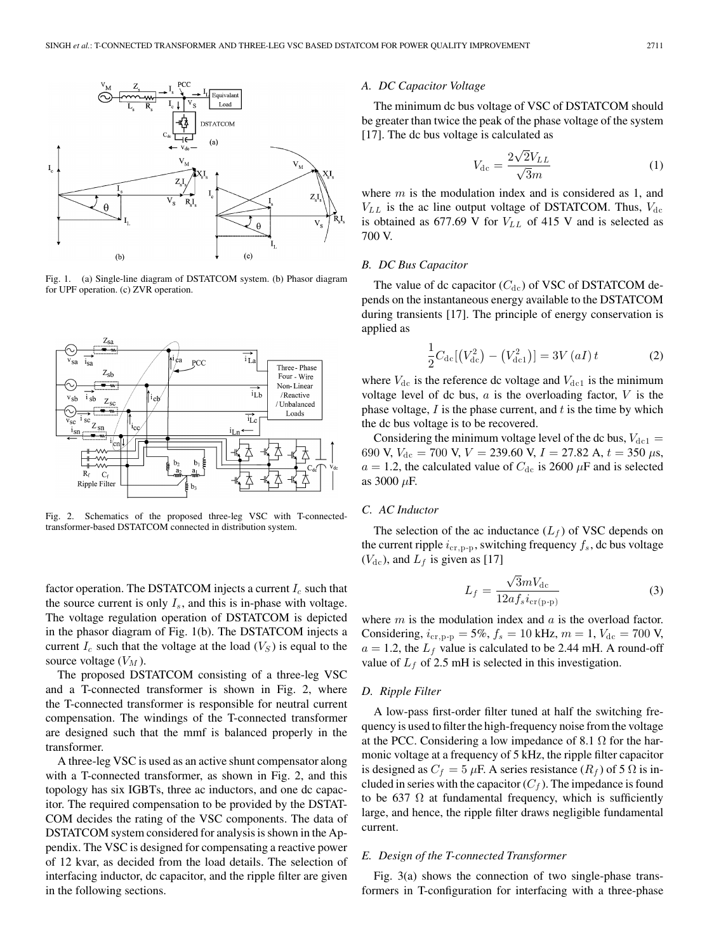

Fig. 1. (a) Single-line diagram of DSTATCOM system. (b) Phasor diagram for UPF operation. (c) ZVR operation.



Fig. 2. Schematics of the proposed three-leg VSC with T-connectedtransformer-based DSTATCOM connected in distribution system.

factor operation. The DSTATCOM injects a current  $I_c$  such that the source current is only  $I_s$ , and this is in-phase with voltage. The voltage regulation operation of DSTATCOM is depicted in the phasor diagram of Fig. 1(b). The DSTATCOM injects a current  $I_c$  such that the voltage at the load  $(V<sub>S</sub>)$  is equal to the source voltage  $(V_M)$ .

The proposed DSTATCOM consisting of a three-leg VSC and a T-connected transformer is shown in Fig. 2, where the T-connected transformer is responsible for neutral current compensation. The windings of the T-connected transformer are designed such that the mmf is balanced properly in the transformer.

A three-leg VSC is used as an active shunt compensator along with a T-connected transformer, as shown in Fig. 2, and this topology has six IGBTs, three ac inductors, and one dc capacitor. The required compensation to be provided by the DSTAT-COM decides the rating of the VSC components. The data of DSTATCOM system considered for analysis is shown in the Appendix. The VSC is designed for compensating a reactive power of 12 kvar, as decided from the load details. The selection of interfacing inductor, dc capacitor, and the ripple filter are given in the following sections.

# *A. DC Capacitor Voltage*

The minimum dc bus voltage of VSC of DSTATCOM should be greater than twice the peak of the phase voltage of the system [17]. The dc bus voltage is calculated as

$$
V_{\rm dc} = \frac{2\sqrt{2}V_{LL}}{\sqrt{3}m} \tag{1}
$$

where  $m$  is the modulation index and is considered as 1, and  $V_{LL}$  is the ac line output voltage of DSTATCOM. Thus,  $V_{dc}$ is obtained as 677.69 V for  $V_{LL}$  of 415 V and is selected as 700 V.

# *B. DC Bus Capacitor*

The value of dc capacitor  $(C_{dc})$  of VSC of DSTATCOM depends on the instantaneous energy available to the DSTATCOM during transients [17]. The principle of energy conservation is applied as

$$
\frac{1}{2}C_{\text{dc}}[(V_{\text{dc}}^{2}) - (V_{\text{dc1}}^{2})] = 3V(aI)t
$$
\n(2)

where  $V_{\text{dc}}$  is the reference dc voltage and  $V_{\text{dc1}}$  is the minimum voltage level of dc bus,  $a$  is the overloading factor,  $V$  is the phase voltage,  $I$  is the phase current, and  $t$  is the time by which the dc bus voltage is to be recovered.

Considering the minimum voltage level of the dc bus,  $V_{\text{dc1}} =$ 690 V,  $V_{dc}$  = 700 V,  $V = 239.60$  V,  $I = 27.82$  A,  $t = 350 \mu s$ ,  $a = 1.2$ , the calculated value of  $C_{\text{dc}}$  is 2600  $\mu$ F and is selected as 3000  $\mu$ F.

## *C. AC Inductor*

The selection of the ac inductance  $(L_f)$  of VSC depends on the current ripple  $i_{\text{cr},\text{p-p}}$ , switching frequency  $f_s$ , dc bus voltage  $(V_{\text{dc}})$ , and  $L_f$  is given as [17]

$$
L_f = \frac{\sqrt{3}mV_{\rm dc}}{12a f_s i_{\rm cr(p-p)}}
$$
 (3)

where  $m$  is the modulation index and  $a$  is the overload factor. Considering,  $i_{\text{cr},\text{p-p}} = 5\%, f_s = 10 \text{ kHz}, m = 1, V_{\text{dc}} = 700 \text{ V}$ ,  $a = 1.2$ , the  $L_f$  value is calculated to be 2.44 mH. A round-off value of  $L_f$  of 2.5 mH is selected in this investigation.

### *D. Ripple Filter*

A low-pass first-order filter tuned at half the switching frequency is used to filter the high-frequency noise from the voltage at the PCC. Considering a low impedance of 8.1  $\Omega$  for the harmonic voltage at a frequency of 5 kHz, the ripple filter capacitor is designed as  $C_f = 5 \mu F$ . A series resistance  $(R_f)$  of 5  $\Omega$  is included in series with the capacitor  $(C_f)$ . The impedance is found to be 637  $\Omega$  at fundamental frequency, which is sufficiently large, and hence, the ripple filter draws negligible fundamental current.

### *E. Design of the T-connected Transformer*

Fig. 3(a) shows the connection of two single-phase transformers in T-configuration for interfacing with a three-phase